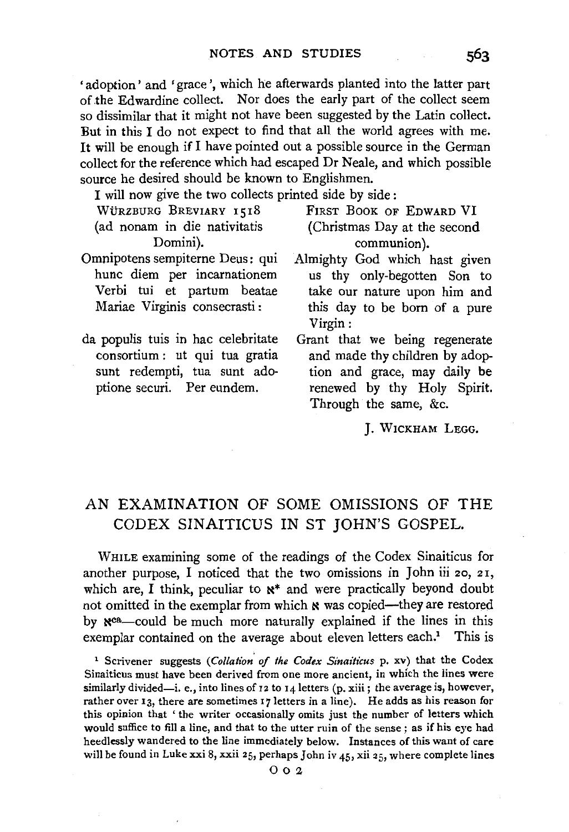'adoption' and 'grace', which he afterwards planted into the latter part of.the Edwardine collect. Nor does the early part of the collect seem so dissimilar that it might not have been suggested by the Latin collect. But in this I do not expect to find that all the world agrees with me. It will be enough if I have pointed out a possible source in the German collect for the reference which had escaped Dr Neale, and which possible source he desired should be known to Englishmen.

I will now give the two collects printed side by side :

- Domini). communion).<br>
Omnipotens sempiterne Deus: qui Almighty God which
- da populis tuis in hac celebritate consortium : ut qui tua gratia sunt redempti, tua sunt adoptione securi. Per eundem.

WÜRZBURG BREVIARY 1518 FIRST BOOK OF EDWARD VI (ad nonam in die nativitatis (Christmas Day at the second

- mnipotens sempiterne Deus: qui Almighty God which hast given<br>hunc diem per incarnationem us thy only-begotten Son to hunc diem per incarnationem us thy only-begotten Son to Verbi tui et partum beatae take our nature upon him and this day to be born of a pure Virgin:
	- Grant that we being regenerate and made thy children by adoption and grace, may daily be renewed by thy Holy Spirit. Through the same, &c.

J. WICKHAM LEGG.

## AN EXAMINATION OF SOME OMISSIONS OF THE CODEX SINAITICUS IN ST JOHN'S GOSPEL.

WHILE examining some of the readings of the Codex Sinaiticus for another purpose, I noticed that the two omissions in John iii 20, 21, which are, I think, peculiar to  $\mathbf{x}^*$  and were practically beyond doubt not omitted in the exemplar from which  $\boldsymbol{\kappa}$  was copied-they are restored by  $\aleph^{\text{ca}}$ -could be much more naturally explained if the lines in this exemplar contained on the average about eleven letters each.<sup>1</sup> This is

<sup>1</sup> Scrivener suggests *(Collation of the Codex Sinaiticus p. xv)* that the Codex Sinaiticus must have been derived from one more ancient, in which the lines were similarly divided-i. e., into lines of 12 to 14 letters (p. xiii; the average is, however, rather over 13, there are sometimes  $17$  letters in a line). He adds as his reason for this opinion that ' the writer occasionally omits just the number of letters which would suffice to fill a line, and that to the utter ruin of the sense ; as if his eye had heedlessly wandered to the line immediately below. Instances of this want of care will be found in Luke xxi 8, xxii 25, perhaps John iv  $45$ , xii 25, where complete lines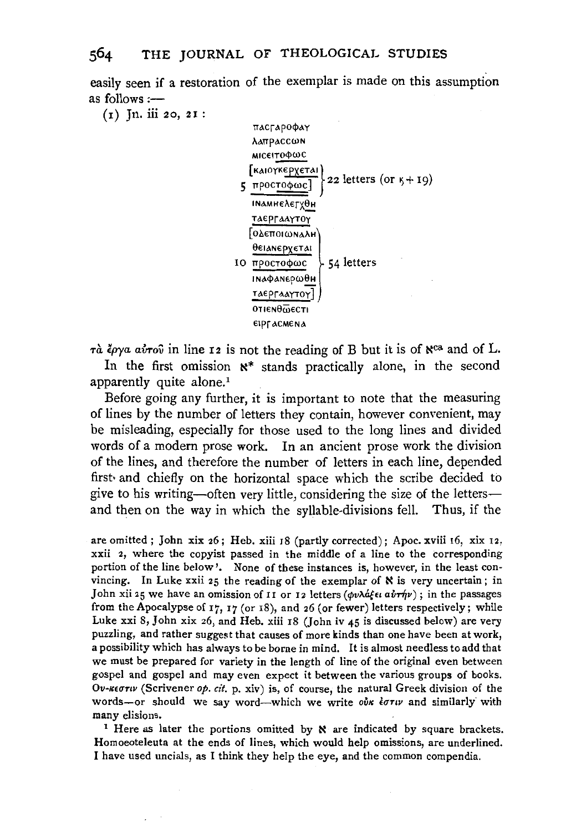easily seen if a restoration of the exemplar is made on this assumption as follows :--

 $(n)$  Jn. iii 20, 21:



τα έργα αύτου in line 12 is not the reading of B but it is of N<sup>ca</sup> and of L.

In the first omission  $x^*$  stands practically alone, in the second apparently quite alone.<sup>1</sup>

Before going any further, it is important to note that the measuring of lines by the number of letters they contain, however convenient, may be misleading, especially for those used to the long lines and divided words of a modern prose work. In an ancient prose work the division of the lines, and therefore the number of letters in each line, depended first• and chiefly on the horizontal space which the scribe decided to give to his writing-often very little, considering the size of the lettersand then on the way in which the syllable-divisions fell. Thus, if the

are omitted; John xix 26; Heb. xiii 18 (partly corrected); Apoc. xviii 16, xix 12, xxii 2, where the copyist passed in the middle of a line to the corresponding portion of the line below'. None of these instances is, however, in the least convincing. In Luke xxii 25 the reading of the exemplar of  $\aleph$  is very uncertain; in John xii 25 we have an omission of II or I2 letters ( $\phi v \lambda d \xi \epsilon \iota a \hat{v} \tau \hat{\eta} v$ ); in the passages from the Apocalypse of  $17$ ,  $17$  (or  $18$ ), and  $26$  (or fewer) letters respectively; while Luke xxi 8, John xix 26, and Heb. xiii 18 (John iv  $45$  is discussed below) are very puzzling, and rather suggest that causes of more kinds than one have been at work, a possibility which has always to be borne in mind. It is almost needless to add that we must be prepared for variety in the length of line of the original even between gospel and gospel and may even expect it between the various groups of books. *Ov-1m1Tw* (Scrivener *op. cit.* p. xiv) is, of course, the natural Greek division of the words-or should we say word--which we write *ove*  $\epsilon \sigma \tau \nu$  and similarly with many elisions.<br><sup>1</sup> Here as later the portions omitted by **x** are indicated by square brackets.

Homoeoteleuta at the ends of lines, which would help omissions, are underlined. I have used uncials, as I think they help the eye, and the common compendia.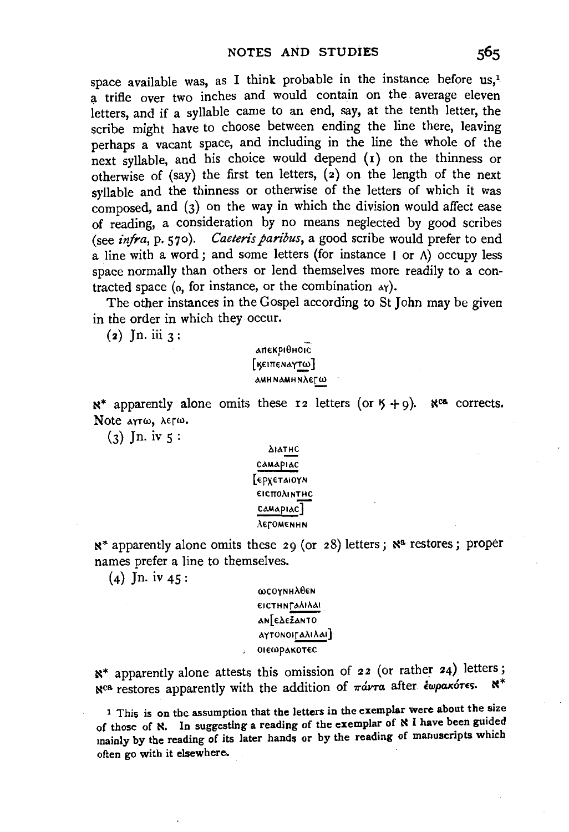space available was, as I think probable in the instance before us,1 a trifle over two inches and would contain on the average eleven letters, and if a syllable came to an end, say, at the tenth letter, the scribe might have to choose between ending the line there, leaving perhaps a vacant space, and including in the line the whole of the next syllable, and his choice would depend (I) on the thinness or otherwise of (say) the first ten letters, (2) on the length of the next syllable and the thinness or otherwise of the letters of which it was composed, and  $(3)$  on the way in which the division would affect ease of reading, a consideration by no means neglected by good scribes (see *infra,* p. 570). *Caeteris paribus,* a good scribe would prefer to end a line with a word; and some letters (for instance  $| \text{ or } A \rangle$  occupy less space normally than others or lend themselves more readily to a contracted space ( $_0$ , for instance, or the combination  $_4\gamma$ ).

The other instances in the Gospel according to St John may be given in the order in which they occur.

 $(a)$  Jn. iii  $3:$ 

t\TI€Kp10HOIC  $[$ **KEITTENAYTW** $]$ **AMHNAMHNλεΓω** 

 $N^*$  apparently alone omits these 12 letters (or  $5 + 9$ ).  $N^{ca}$  corrects. Note arroo,  $\lambda \epsilon \Gamma \omega$ .

 $(3)$  In. iv  $5$ :

 $\Delta$ lath $C$ CAMAPIAC [ €PX€Tt\IOYN €1CTIOAINTHC  $\text{Camap}$ "€roM€NHN

 $N^*$  apparently alone omits these 29 (or 28) letters;  $N^a$  restores; proper names prefer a line to themselves.

 $(4)$  Jn. iv  $45$ :

 $\omega$ COYNH $\lambda$ θεΝ  $E$ Ι CΤΗΝΓΑλΙλΑΙ an[€**AEZANTO** *αγτ***ΟΝΟΙΓΑλΙλΑΙ**] 01εωρ<sub>ακοτες</sub>

 $\mathbb{R}^*$  apparently alone attests this omission of 22 (or rather 24) letters;<br>yes nothing approach with the addition of  $\pi/\gamma$  after *boogkores*. Nca restores apparently with the addition of  $\pi\acute{\alpha}\nu\tau\alpha$  after *<i>¿wpak6TES*.

<sup>1</sup> This is on the assumption that the letters in the exemplar were about the size of those of N. In suggesting a reading of the exemplar of N I have been guided mainly by the reading of its later hands or by the reading of manuscripts which often go with it elsewhere.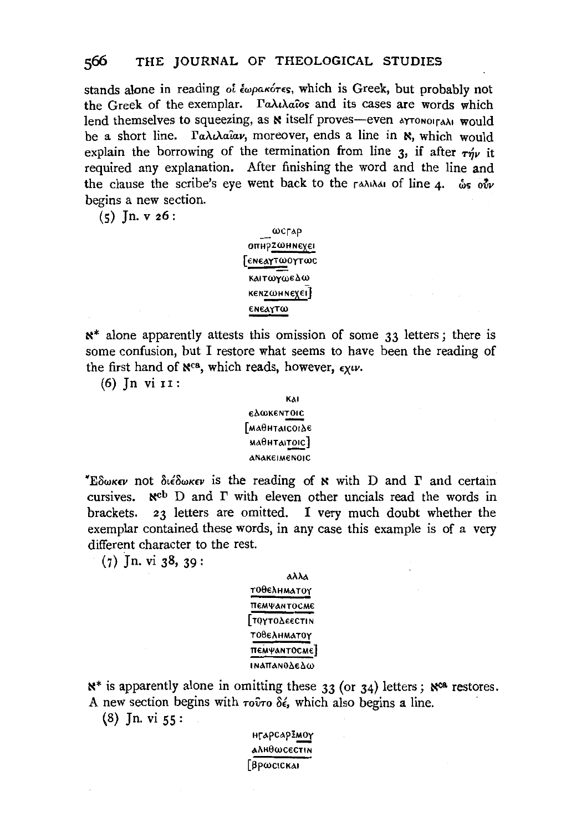stands alone in reading *οι έωρακότες*, which is Greek, but probably not the Greek of the exemplar. Γαλιλαΐοs and its cases are words which lend themselves to squeezing, as  $\aleph$  itself proves-even  $\triangle$  arronoira $\triangle$ i would be a short line. Γαλιλαΐαν, moreover, ends a line in **N**, which would explain the borrowing of the termination from line  $3$ , if after  $\tau w$  it required any explanation. After finishing the word and the line and the clause the scribe's eye went back to the  $\eta$  and  $\delta u$  of line 4.  $\delta s$ ,  $\delta w$ begins a new section.

 $(5)$  Jn. v 26:

wcrap OΠΗΡΖωΗΝεχει [ €N€0.YTWOyrcoc καιτωγωελω KENZWHNEXEL]<br>ENEAYTW

 $x^*$  alone apparently attests this omission of some 33 letters; there is some confusion, but I restore what seems to have been the reading of the first hand of  $\aleph^{\text{ca}}$ , which reads, however,  $\epsilon \chi \omega$ .

(6) Jn vi 11:

#### KAI €.l.COK€NTOIC [MAΘΗΤΑΙCΟΙΔΕ  $MA<sub>θH</sub>TA|TOIC$ ] ANAK€1M€NOIC

*•Eδωκεν* not διέδωκεν is the reading of **N** with D and Γ and certain cursives.  $\aleph^{cb}$  D and  $\Gamma$  with eleven other uncials read the words in brackets. 23 letters are omitted. I very much doubt whether the exemplar contained these words, in any case this example is of a very different character to the rest.

(7) Jn. vi 38, 39:

## αλλα T0θελΗΜΑΤΟΥ TT€M\llANT0CM€ **[ τογτολεεcτι Ν** T00€,\HMATOy πемψантосме] **INATTANO Δελω**

 $x^*$  is apparently alone in omitting these 33 (or 34) letters;  $x^{ca}$  restores. A new section begins with  $\tau o \hat{v} \tau o \delta \epsilon$ , which also begins a line.

 $(8)$  Jn. vi  $55$ :

H<sub>r</sub>apcapZMOY A.\H0WC€CTIN  $[β$ pωcickai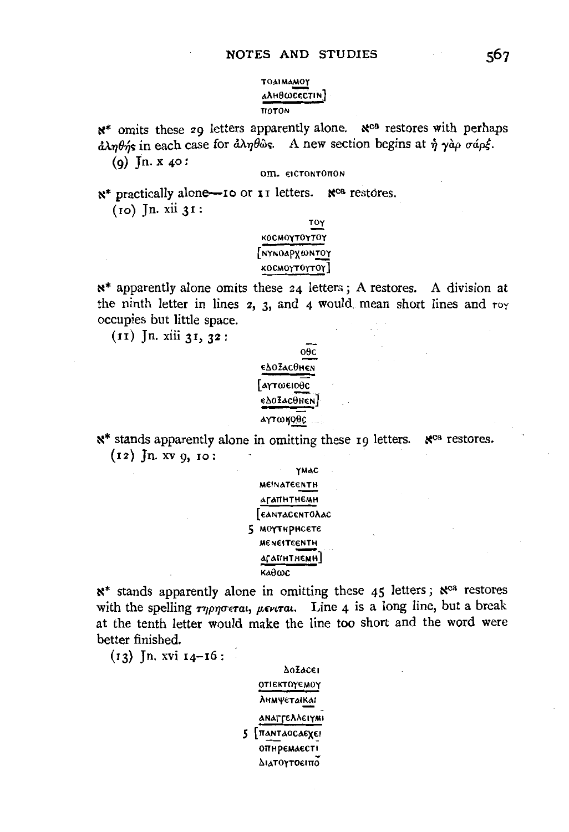#### TOAIMAMOY алн0шсестін] **TTOTON**

w<sup>\*</sup> omits these 29 letters apparently alone. W<sup>ea</sup> restores with perhaps  $\partial \lambda \eta \theta$ *ns* in each case for  $\partial \lambda \eta \theta$  as. A new section begins at  $\eta \gamma \partial \rho \sigma \phi$ . (9) Jn. x  $40:$ 

OM. EICTONTONON

N<sup>\*</sup> practically alone—10 or 11 letters. N<sup>ca</sup> restores.  $(10)$  Jn. xii  $31$ :

## <u>τογ</u> κος ΜΟΥΤΟΥΤΟΥ [nynoapxwn<u>toy</u> **κος ΜΟΥΤΟΥΤΟΥ**

 $x^*$  apparently alone omits these 24 letters; A restores. A division at the ninth letter in lines  $2$ ,  $3$ , and  $4$  would mean short lines and  $\tau$ oy occupies but little space.

 $(11)$  Jn. xiii 31, 32:



x\* stands apparently alone in omitting these 19 letters. N<sup>ca</sup> restores.  $(12)$  Jn. xv 9, 10:



 $x^*$  stands apparently alone in omitting these 45 letters;  $x^{ca}$  restores with the spelling  $\tau \eta \rho \eta \sigma \epsilon \tau a$ ,  $\mu \epsilon \nu \tau a$ . Line 4 is a long line, but a break at the tenth letter would make the line too short and the word were better finished.

 $(i_3)$  Jn. xvi  $i_4$ –16:

**Δ**οΣαςει ΟΤΙΕΚΤΟΥΕΜΟΥ **Лнмуєтаікаі** αnaffeλλειγμι 5 [пантаосаехеі опиремаесті Διατογτοειπο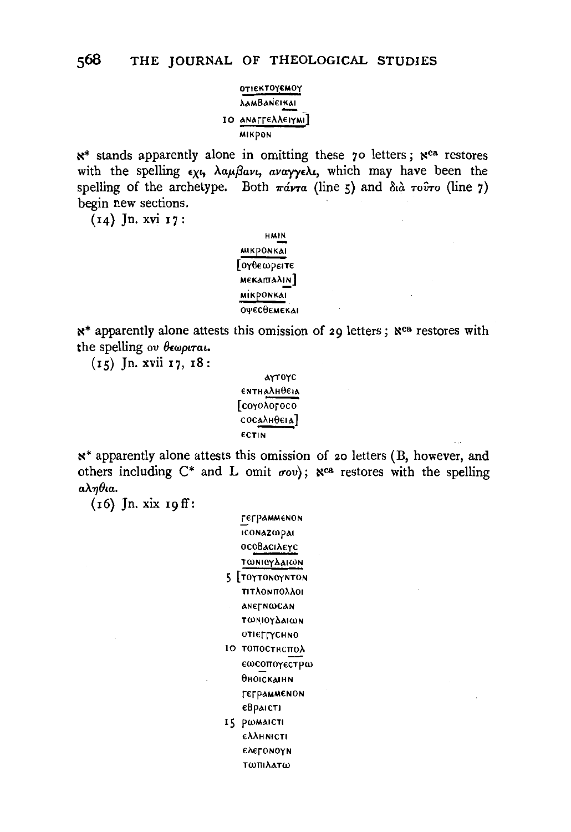### ΟΤΙΕΚΤΟΥΕΜΟΥ *AAMBANEIKAI* ΙΟ ΑΝΑΓΓΕλλειγΜΙ] мікром

x\* stands apparently alone in omitting these 70 letters; xca restores with the spelling  $\epsilon \chi \zeta$ ,  $\lambda \alpha \mu \beta \alpha \nu \zeta$ ,  $\alpha \nu \alpha \gamma \gamma \epsilon \lambda \zeta$ , which may have been the spelling of the archetype. Both  $\pi \omega \tau a$  (line 5) and  $\delta a \tau \omega \tau o$  (line 7) begin new sections.

(14) Jn. xvi 17:

**HMIN MIKPONKAI** Γογθεωρειτε **ΜΕΚΑΙΠΑΛΙΝ MIKPONKAI** ОУЕСОЕМЕКАІ

x\* apparently alone attests this omission of 29 letters; Nea restores with the spelling ov θεωριται.

 $(15)$  Jn. xvii  $17, 18$ :

```
ΑΥΤΟΥΣ
ΕΝΤΗΔλΗθεια
Γεογολογοεο
\frac{1}{2}ECTIN
```
x<sup>\*</sup> apparently alone attests this omission of 20 letters (B, however, and others including  $C^*$  and L omit  $\sigma o v$ ;  $\aleph^{ca}$  restores with the spelling  $a\lambda\eta\theta$ ia.

 $(16)$  Jn. xix 19 ff:

|    | г€грамменон               |
|----|---------------------------|
|    | <b>ICONAZWPAI</b>         |
|    | οςοΒαςιλεγς               |
|    | τωΝιογδαιωΝ               |
|    | 5 ΓτογτοΝογΝτοΝ           |
|    | πιτλοκπολλοι              |
|    | <b>ANETNWCAN</b>          |
|    | τωνιογδαιων               |
|    | <b>ΟΤΙΕΓΓΥCΗΝΟ</b>        |
| 10 | топостнспол               |
|    | εωςοπογεςτρω              |
|    | Өноіскаінн                |
|    | геграмменон               |
|    | €Враісті                  |
| 15 | РОМАЮТІ                   |
|    | <b>ελλ</b> ΗΝΙ <b>CTI</b> |
|    | ελεγοΝογΝ                 |
|    | <b>Τωπιλατω</b>           |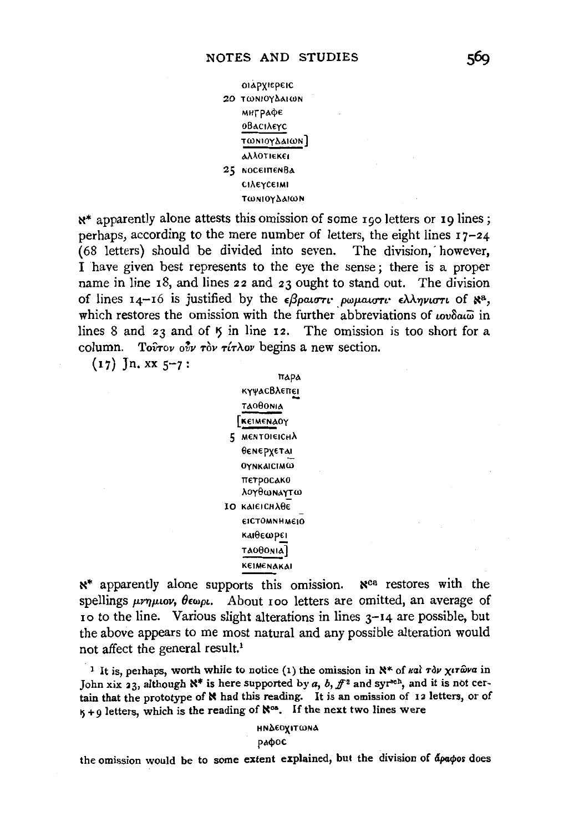

 $x^*$  apparently alone attests this omission of some 190 letters or 19 lines; perhaps, according to the mere number of letters, the eight lines  $17-24$ (68 letters) should be divided into seven. The division, however, I have given best represents to the eye the sense; there is a proper name in line 18, and lines 22 and 23 ought to stand out. The division of lines  $I_4$ -16 is justified by the  $\epsilon\beta\rho\omega\sigma\tau\mu\nu\omega\mu\omega\sigma\tau\tau\epsilon\lambda\lambda\eta\nu\omega\tau\tau$  of  $\aleph^a$ , which restores the omission with the further abbreviations of www.in lines 8 and 23 and of 5 in line 12. The omission is too short for a column. To *irov* out row right begins a new section.

 $(17)$  Jn. xx  $5-7$ :

Пара *күчасВлепен TAOOONIA* TREIMENAOY 5 МЕНТОНЕІСНА **Ө**емеруета! **OYNKAICIMW** ПЕТРОСАКО λογθωΝΑΥΤω IO KAIEICHAOE **EICTOMNHMEIO ΚΑΙΘΕωΡΕΙ TAOOONIA KEIMENAKAI** 

 $x^*$  apparently alone supports this omission.  $x^{ca}$  restores with the spellings  $\mu\nu\eta\mu\omega\nu$ ,  $\theta\epsilon\omega\rho\iota$ . About 100 letters are omitted, an average of 10 to the line. Various slight alterations in lines 3-14 are possible, but the above appears to me most natural and any possible alteration would not affect the general result.<sup>1</sup>

<sup>1</sup> It is, perhaps, worth while to notice (1) the omission in  $\aleph^*$  of  $\kappa a$   $\tau$   $\partial \nu \chi$   $\tau$   $\hat{\omega}$   $\nu$  a in John xix 23, although  $\aleph^*$  is here supported by a, b,  $f^2$  and syr<sup>sch</sup>, and it is not certain that the prototype of N had this reading. It is an omission of 12 letters, or of  $K + Q$  letters, which is the reading of  $\aleph^{cos}$ . If the next two lines were

> ΗΝΔΕΟΥΙΤωΝΑ рафос

the omission would be to some extent explained, but the division of apapos does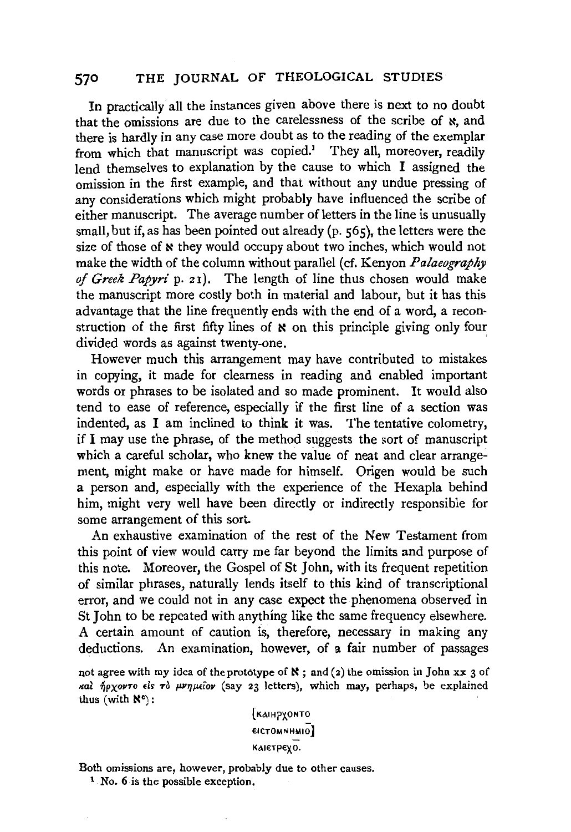In practically all the instances given above there is next to no doubt that the omissions are due to the carelessness of the scribe of  $\varkappa$ , and there is hardly in any case more doubt as to the reading of the exemplar from which that manuscript was copied.<sup>1</sup> They all, moreover, readily lend themselves to explanation by the cause to which I assigned the omission in the first example, and that without any undue pressing of any considerations which might probably have influenced the scribe of either manuscript. The average number of letters in the line is unusually small, but if, as has been pointed out already (p. 565), the letters were the size of those of  $\boldsymbol{\kappa}$  they would occupy about two inches, which would not make the width of the column without parallel (cf. Kenyon *Palaeography of Greek Papyri* p. 21). The length of line thus chosen would make the manuscript more costly both in material and labour, but it has this advantage that the line frequently ends with the end of a word, a reconstruction of the first fifty lines of  $\boldsymbol{\kappa}$  on this principle giving only four divided words as against twenty-one.

However much this arrangement may have contributed to mistakes in copying, it made for clearness in reading and enabled important words or phrases to be isolated and so made prominent. It would also tend to ease of reference, especially if the first line of a section was indented, as I am inclined to think it was. The tentative colometry, if I may use the phrase, of the method suggests the sort of manuscript which a careful scholar, who knew the value of neat and clear arrangement, might make or have made for himself. Origen would be such a person and, especially with the experience of the Hexapla behind him, might very well have been directly or indirectly responsible for some arrangement of this sort.

An exhaustive examination of the rest of the New Testament from this point of view would carry me far beyond the limits and purpose of this note. Moreover, the Gospel of St John, with its frequent repetition of similar phrases, naturally lends itself to this kind of transcriptional error, and we could not in any case expect the phenomena observed in St John to be repeated with anything like the same frequency elsewhere. A certain amount of caution is, therefore, necessary in making any deductions. An examination, however, of a fair number of passages

not agree with my idea of the prototype of  $\aleph$ ; and (2) the omission in John xx 3 of και ήρχοντο είs το μνημείον (say 23 letters), which may, perhaps, be explained thus (with N°):

> **FKAIHPYONTO**  $EICTOMNHMI$ K<sub>A</sub>IETPEY<sub>0</sub>.

Both omissions are, however, probably due to other causes. 1 No. 6 is the possible exception.